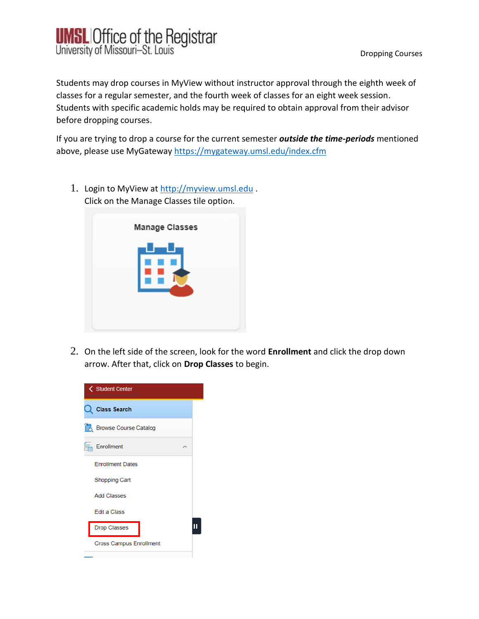

Students may drop courses in MyView without instructor approval through the eighth week of classes for a regular semester, and the fourth week of classes for an eight week session. Students with specific academic holds may be required to obtain approval from their advisor before dropping courses.

If you are trying to drop a course for the current semester *outside the time-periods* mentioned above, please use MyGateway<https://mygateway.umsl.edu/index.cfm>

1. Login to MyView at [http://myview.umsl.edu](http://myview.umsl.edu/). Click on the Manage Classes tile option.



2. On the left side of the screen, look for the word **Enrollment** and click the drop down arrow. After that, click on **Drop Classes** to begin.

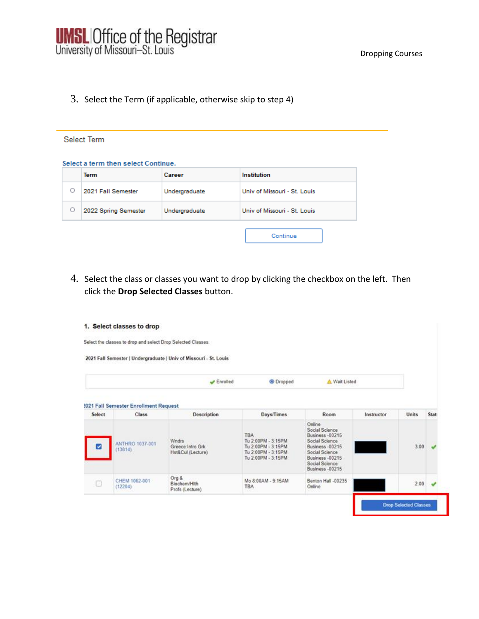3. Select the Term (if applicable, otherwise skip to step 4)

## Select Term

## Select a term then select Continue.

|   | <b>Term</b>          | Career        | Institution                  |
|---|----------------------|---------------|------------------------------|
| O | 2021 Fall Semester   | Undergraduate | Univ of Missouri - St. Louis |
| О | 2022 Spring Semester | Undergraduate | Univ of Missouri - St. Louis |
|   |                      |               | Continue                     |

4. Select the class or classes you want to drop by clicking the checkbox on the left. Then click the **Drop Selected Classes** button.

|                            | Select the classes to drop and select Drop Selected Classes. |                                                                                                            |                                                                                                           |                 |               |      |
|----------------------------|--------------------------------------------------------------|------------------------------------------------------------------------------------------------------------|-----------------------------------------------------------------------------------------------------------|-----------------|---------------|------|
|                            |                                                              |                                                                                                            |                                                                                                           |                 |               |      |
|                            | Enrolled                                                     | <sup>®</sup> Dropped                                                                                       |                                                                                                           |                 |               |      |
| Class                      | <b>Description</b>                                           | Days/Times                                                                                                 | Room                                                                                                      | Instructor      | <b>Units</b>  | Stat |
| ANTHRO 1037-001<br>(13814) | <b>W</b> ndrs<br>Greece Intro Grk<br>Hst&Cul (Lecture)       | <b>TBA</b><br>Tu 2:00PM - 3:15PM<br>Tu 2.00PM - 3:15PM<br>Tu 2 00PM - 3:15PM                               | Online<br>Social Science<br><b>Business -00215</b><br>Social Science<br>Business -00215<br>Social Science |                 | 3.00          |      |
| CHEM 1062-001              | Org &                                                        | Mo 8:00AM - 9:15AM                                                                                         | Social Science<br>Business -00215<br>Benton Hall -00235                                                   |                 | 2.00          |      |
|                            |                                                              | 2021 Fall Semester   Undergraduate   Univ of Missouri - St. Louis<br>1021 Fall Semester Enrollment Request | Tu 2:00PM - 3:15PM                                                                                        | Business -00215 | A Wait Listed |      |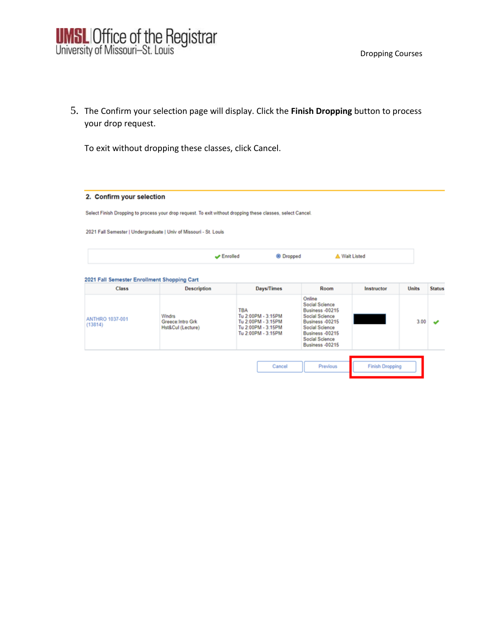5. The Confirm your selection page will display. Click the **Finish Dropping** button to process your drop request.

To exit without dropping these classes, click Cancel.

## 2. Confirm your selection

Select Finish Dropping to process your drop request. To exit without dropping these classes, select Cancel.

2021 Fall Semester | Undergraduate | Univ of Missouri - St. Louis

| <sup>®</sup> Dropped<br><b>A Wait Listed</b><br>Enrolled |
|----------------------------------------------------------|
|----------------------------------------------------------|

## 2021 Fall Semester Enrollment Shopping Cart

| <b>Class</b>               | <b>Description</b>                                     | Days/Times                                                                                         | Room                                                                                                                                                                     | Instructor             | <b>Units</b> | <b>Status</b> |
|----------------------------|--------------------------------------------------------|----------------------------------------------------------------------------------------------------|--------------------------------------------------------------------------------------------------------------------------------------------------------------------------|------------------------|--------------|---------------|
| ANTHRO 1037-001<br>(13814) | <b>Wndrs</b><br>Greece: Intro Grk<br>Hst&Cul (Lecture) | <b>TBA</b><br>Tu 2:00PM - 3:15PM<br>Tu 2:00PM - 3:15PM<br>Tu 2:00PM - 3:15PM<br>Tu 2:00PM - 3:15PM | Online<br>Social Science<br><b>Business -00215</b><br>Social Science<br>Business -00215<br>Social Science<br>Business -00215<br>Social Science<br><b>Business -00215</b> |                        | 3.00         |               |
|                            |                                                        | Cancel                                                                                             | Previous                                                                                                                                                                 | <b>Finish Dropping</b> |              |               |